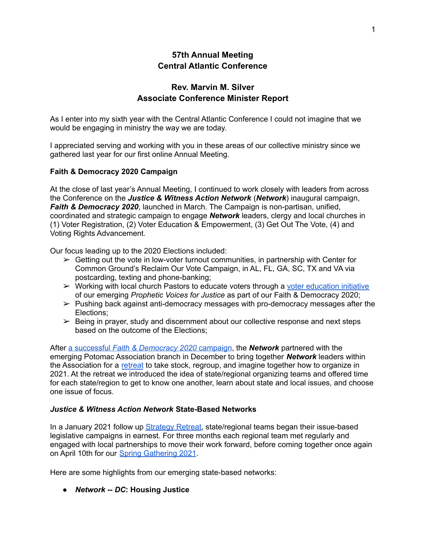# **57th Annual Meeting Central Atlantic Conference**

# **Rev. Marvin M. Silver Associate Conference Minister Report**

As I enter into my sixth year with the Central Atlantic Conference I could not imagine that we would be engaging in ministry the way we are today.

I appreciated serving and working with you in these areas of our collective ministry since we gathered last year for our first online Annual Meeting.

#### **Faith & Democracy 2020 Campaign**

At the close of last year's Annual Meeting, I continued to work closely with leaders from across the Conference on the *Justice & Witness Action Network* (*Network*) inaugural campaign, *Faith & Democracy 2020*, launched in March. The Campaign is non-partisan, unified, coordinated and strategic campaign to engage *Network* leaders, clergy and local churches in (1) Voter Registration, (2) Voter Education & Empowerment, (3) Get Out The Vote, (4) and Voting Rights Advancement.

Our focus leading up to the 2020 Elections included:

- $\triangleright$  Getting out the vote in low-voter turnout communities, in partnership with Center for Common Ground's Reclaim Our Vote Campaign, in AL, FL, GA, SC, TX and VA via postcarding, texting and phone-banking;
- $\triangleright$  Working with local church Pastors to educate voters through a voter [education](https://drive.google.com/drive/folders/1I5CxRVOqF49wKjvyYHvIb9R0kz8rcVpR?usp=sharing) initiative of our emerging *Prophetic Voices for Justice* as part of our Faith & Democracy 2020;
- $\triangleright$  Pushing back against anti-democracy messages with pro-democracy messages after the Elections;
- $\triangleright$  Being in prayer, study and discernment about our collective response and next steps based on the outcome of the Elections;

After a successful *Faith & [Democracy](https://drive.google.com/file/d/1hRqPDY5iY7PVUvicT9j9IgHAUbqyJKZd/view?usp=sharing) 2020* campaign, the *Network* partnered with the emerging Potomac Association branch in December to bring together *Network* leaders within the Association for a [retreat](https://docs.google.com/document/d/1JucHQnJqqvKxWqdrrrtISlQN3UwxVaNw_omhg5y50JM/edit) to take stock, regroup, and imagine together how to organize in 2021. At the retreat we introduced the idea of state/regional organizing teams and offered time for each state/region to get to know one another, learn about state and local issues, and choose one issue of focus.

#### *Justice & Witness Action Network* **State-Based Networks**

In a January 2021 follow up [Strategy](https://docs.google.com/document/d/1RBFdKO1qgGAzvP0n5tsMUvhsV9pOGOJfgvM8oycAM90/edit) Retreat, state/regional teams began their issue-based legislative campaigns in earnest. For three months each regional team met regularly and engaged with local partnerships to move their work forward, before coming together once again on April 10th for our Spring [Gathering](https://docs.google.com/document/d/12TEGpbjbXpooNerJzYXauMsyiRMdZxJdM3O_6Yu5p4I/edit) 2021.

Here are some highlights from our emerging state-based networks:

**●** *Network -- DC***: Housing Justice**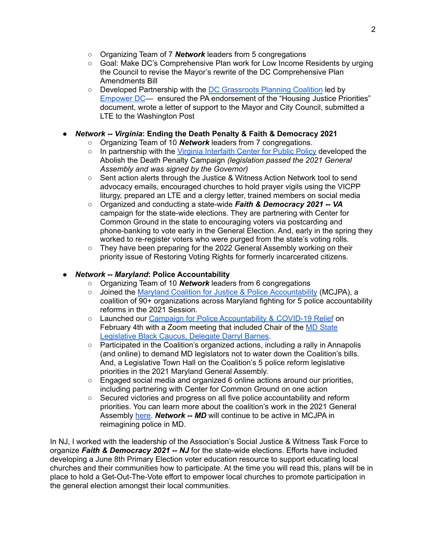- Organizing Team of 7 *Network* leaders from 5 congregations
- Goal: Make DC's Comprehensive Plan work for Low Income Residents by urging the Council to revise the Mayor's rewrite of the DC Comprehensive Plan Amendments Bill
- Developed Partnership with the DC [Grassroots](http://www.dcgrassrootsplanning.org/) Planning Coalition led by [Empower](https://www.empowerdc.org/) DC— ensured the PA endorsement of the "Housing Justice Priorities" document, wrote a letter of support to the Mayor and City Council, submitted a LTE to the Washington Post

## **●** *Network -- Virginia***: Ending the Death Penalty & Faith & Democracy 2021**

- Organizing Team of 10 *Network* leaders from 7 congregations.
- In partnership with the Virginia [Interfaith](https://www.virginiainterfaithcenter.org/) Center for Public Policy developed the Abolish the Death Penalty Campaign *(legislation passed the 2021 General Assembly and was signed by the Governor)*
- Sent action alerts through the Justice & Witness Action Network tool to send advocacy emails, encouraged churches to hold prayer vigils using the VICPP liturgy, prepared an LTE and a clergy letter, trained members on social media
- Organized and conducting a state-wide *Faith & Democracy 2021 -- VA* campaign for the state-wide elections. They are partnering with Center for Common Ground in the state to encouraging voters via postcarding and phone-banking to vote early in the General Election. And, early in the spring they worked to re-register voters who were purged from the state's voting rolls.
- $\circ$  They have been preparing for the 2022 General Assembly working on their priority issue of Restoring Voting Rights for formerly incarcerated citizens.

## **●** *Network -- Maryland***: Police Accountability**

- Organizing Team of 10 *Network* leaders from 6 congregations
- Joined the Maryland Coalition for Justice & Police [Accountability](https://www.mcjpa.org) (MCJPA), a coalition of 90+ organizations across Maryland fighting for 5 police accountability reforms in the 2021 Session.
- Launched our Campaign for Police [Accountability](https://docs.google.com/document/d/1Ezs9BHSDiAo9uJ-lKJvB5w0M0yvj_le6-lWl4iIBEXA/edit?usp=sharing) & COVID-19 Relief on February 4th with a Zoom meeting that included Chair of the MD [State](https://msa.maryland.gov/msa/mdmanual/06hse/html/msa17067.html) [Legislative](https://msa.maryland.gov/msa/mdmanual/06hse/html/msa17067.html) Black Caucus, Delegate Darryl Barnes.
- Participated in the Coalition's organized actions, including a rally in Annapolis (and online) to demand MD legislators not to water down the Coalition's bills. And, a Legislative Town Hall on the Coalition's 5 police reform legislative priorities in the 2021 Maryland General Assembly.
- Engaged social media and organized 6 online actions around our priorities, including partnering with Center for Common Ground on one action
- Secured victories and progress on all five police accountability and reform priorities. You can learn more about the coalition's work in the 2021 General Assembly [here.](https://www.youtube.com/watch?v=fKfw4bUVVAA&t=3s) *Network -- MD* will continue to be active in MCJPA in reimagining police in MD.

In NJ, I worked with the leadership of the Association's Social Justice & Witness Task Force to organize *Faith & Democracy 2021 -- NJ* for the state-wide elections. Efforts have included developing a June 8th Primary Election voter education resource to support educating local churches and their communities how to participate. At the time you will read this, plans will be in place to hold a Get-Out-The-Vote effort to empower local churches to promote participation in the general election amongst their local communities.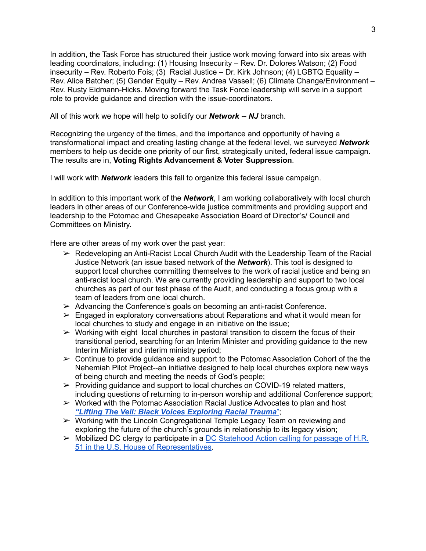In addition, the Task Force has structured their justice work moving forward into six areas with leading coordinators, including: (1) Housing Insecurity – Rev. Dr. Dolores Watson; (2) Food insecurity – Rev. Roberto Fois; (3) Racial Justice – Dr. Kirk Johnson; (4) LGBTQ Equality – Rev. Alice Batcher; (5) Gender Equity – Rev. Andrea Vassell; (6) Climate Change/Environment – Rev. Rusty Eidmann-Hicks. Moving forward the Task Force leadership will serve in a support role to provide guidance and direction with the issue-coordinators.

All of this work we hope will help to solidify our *Network -- NJ* branch.

Recognizing the urgency of the times, and the importance and opportunity of having a transformational impact and creating lasting change at the federal level, we surveyed *Network* members to help us decide one priority of our first, strategically united, federal issue campaign. The results are in, **Voting Rights Advancement & Voter Suppression**.

I will work with *Network* leaders this fall to organize this federal issue campaign.

In addition to this important work of the *Network*, I am working collaboratively with local church leaders in other areas of our Conference-wide justice commitments and providing support and leadership to the Potomac and Chesapeake Association Board of Director's/ Council and Committees on Ministry.

Here are other areas of my work over the past year:

- $\triangleright$  Redeveloping an Anti-Racist Local Church Audit with the Leadership Team of the Racial Justice Network (an issue based network of the *Network*). This tool is designed to support local churches committing themselves to the work of racial justice and being an anti-racist local church. We are currently providing leadership and support to two local churches as part of our test phase of the Audit, and conducting a focus group with a team of leaders from one local church.
- $\triangleright$  Advancing the Conference's goals on becoming an anti-racist Conference.
- $\triangleright$  Engaged in exploratory conversations about Reparations and what it would mean for local churches to study and engage in an initiative on the issue;
- $\triangleright$  Working with eight local churches in pastoral transition to discern the focus of their transitional period, searching for an Interim Minister and providing guidance to the new Interim Minister and interim ministry period;
- $\geq$  Continue to provide guidance and support to the Potomac Association Cohort of the the Nehemiah Pilot Project--an initiative designed to help local churches explore new ways of being church and meeting the needs of God's people;
- $\triangleright$  Providing guidance and support to local churches on COVID-19 related matters, including questions of returning to in-person worship and additional Conference support;
- $\triangleright$  Worked with the Potomac Association Racial Justice Advocates to plan and host *"Lifting The Veil: Black Voices [Exploring](https://drive.google.com/file/d/1xuUyUXVJsbiv3_zR1oVCIQ99wgmPRh-x/view?usp=sharing) Racial Trauma*";
- ➢ Working with the Lincoln Congregational Temple Legacy Team on reviewing and exploring the future of the church's grounds in relationship to its legacy vision;
- $\triangleright$  Mobilized DC clergy to participate in a DC [Statehood](https://docs.google.com/document/d/1wUOzq9BHfOdekw7KZH1p_ApvP2KYPWKE7xS5JHuzXrU/edit?usp=sharing) Action calling for passage of H.R. 51 in the U.S. House of [Representatives](https://docs.google.com/document/d/1wUOzq9BHfOdekw7KZH1p_ApvP2KYPWKE7xS5JHuzXrU/edit?usp=sharing).